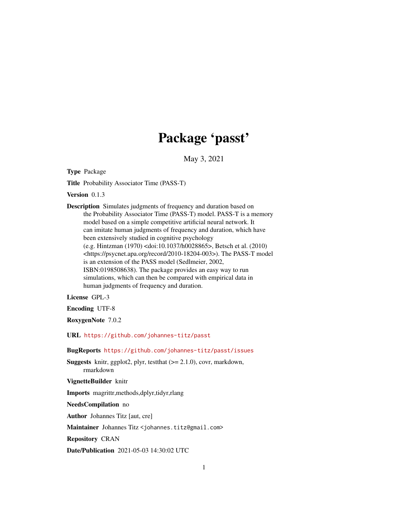# Package 'passt'

May 3, 2021

Type Package

Title Probability Associator Time (PASS-T)

Version 0.1.3

Description Simulates judgments of frequency and duration based on the Probability Associator Time (PASS-T) model. PASS-T is a memory model based on a simple competitive artificial neural network. It can imitate human judgments of frequency and duration, which have been extensively studied in cognitive psychology (e.g. Hintzman (1970) <doi:10.1037/h0028865>, Betsch et al. (2010) <https://psycnet.apa.org/record/2010-18204-003>). The PASS-T model is an extension of the PASS model (Sedlmeier, 2002, ISBN:0198508638). The package provides an easy way to run simulations, which can then be compared with empirical data in human judgments of frequency and duration.

License GPL-3

Encoding UTF-8

RoxygenNote 7.0.2

URL <https://github.com/johannes-titz/passt>

BugReports <https://github.com/johannes-titz/passt/issues>

Suggests knitr, ggplot2, plyr, testthat (>= 2.1.0), covr, markdown, rmarkdown

VignetteBuilder knitr

Imports magrittr,methods,dplyr,tidyr,rlang

NeedsCompilation no

Author Johannes Titz [aut, cre]

Maintainer Johannes Titz <johannes.titz@gmail.com>

Repository CRAN

Date/Publication 2021-05-03 14:30:02 UTC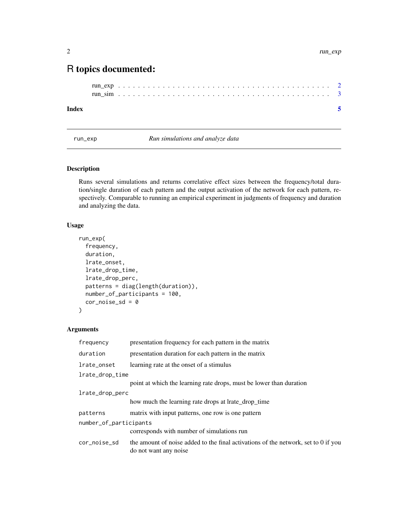# <span id="page-1-0"></span>R topics documented:

#### **Index** [5](#page-4-0). The second state of the second state of the second state of the second state of the second state of the second state of the second state of the second state of the second state of the second state of the second

<span id="page-1-1"></span>run\_exp *Run simulations and analyze data*

# Description

Runs several simulations and returns correlative effect sizes between the frequency/total duration/single duration of each pattern and the output activation of the network for each pattern, respectively. Comparable to running an empirical experiment in judgments of frequency and duration and analyzing the data.

# Usage

```
run_exp(
  frequency,
  duration,
  lrate_onset,
  lrate_drop_time,
  lrate_drop_perc,
 patterns = diag(length(duration)),
 number_of_participants = 100,
  cor\_noise\_sd = 0)
```
# Arguments

| frequency              | presentation frequency for each pattern in the matrix                                                       |
|------------------------|-------------------------------------------------------------------------------------------------------------|
| duration               | presentation duration for each pattern in the matrix                                                        |
| lrate_onset            | learning rate at the onset of a stimulus                                                                    |
| lrate_drop_time        |                                                                                                             |
|                        | point at which the learning rate drops, must be lower than duration                                         |
| lrate_drop_perc        |                                                                                                             |
|                        | how much the learning rate drops at lrate_drop_time                                                         |
| patterns               | matrix with input patterns, one row is one pattern                                                          |
| number_of_participants |                                                                                                             |
|                        | corresponds with number of simulations run                                                                  |
| cor_noise_sd           | the amount of noise added to the final activations of the network, set to 0 if you<br>do not want any noise |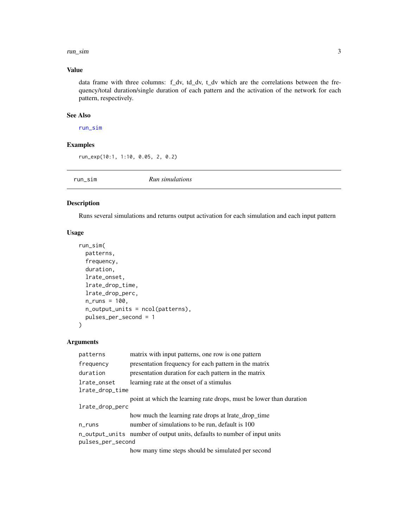#### <span id="page-2-0"></span>run\_sim 3

# Value

data frame with three columns: f\_dv, td\_dv, t\_dv which are the correlations between the frequency/total duration/single duration of each pattern and the activation of the network for each pattern, respectively.

#### See Also

[run\\_sim](#page-2-1)

# Examples

run\_exp(10:1, 1:10, 0.05, 2, 0.2)

<span id="page-2-1"></span>run\_sim *Run simulations*

#### Description

Runs several simulations and returns output activation for each simulation and each input pattern

# Usage

```
run_sim(
 patterns,
  frequency,
 duration,
  lrate_onset,
  lrate_drop_time,
  lrate_drop_perc,
 n_{runs} = 100,n_output_units = ncol(patterns),
 pulses_per_second = 1
)
```
#### Arguments

| patterns          | matrix with input patterns, one row is one pattern                       |
|-------------------|--------------------------------------------------------------------------|
| frequency         | presentation frequency for each pattern in the matrix                    |
| duration          | presentation duration for each pattern in the matrix                     |
| lrate_onset       | learning rate at the onset of a stimulus                                 |
| lrate_drop_time   |                                                                          |
|                   | point at which the learning rate drops, must be lower than duration      |
| lrate_drop_perc   |                                                                          |
|                   | how much the learning rate drops at lrate_drop_time                      |
| $n$ _runs         | number of simulations to be run, default is 100                          |
|                   | n_output_units number of output units, defaults to number of input units |
| pulses_per_second |                                                                          |
|                   | how many time steps should be simulated per second                       |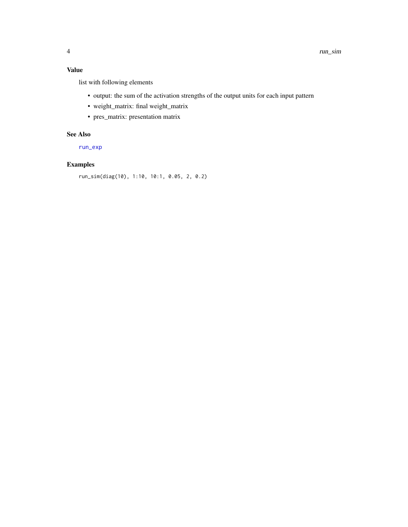# <span id="page-3-0"></span>Value

list with following elements

- output: the sum of the activation strengths of the output units for each input pattern
- weight\_matrix: final weight\_matrix
- pres\_matrix: presentation matrix

### See Also

[run\\_exp](#page-1-1)

# Examples

```
run_sim(diag(10), 1:10, 10:1, 0.05, 2, 0.2)
```